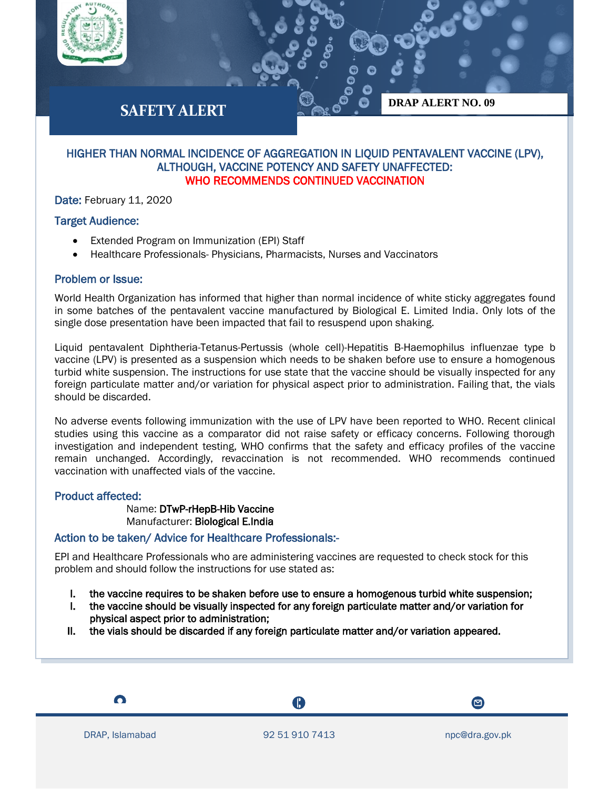



**DRAP ALERT NO. 09**

# HIGHER THAN NORMAL INCIDENCE OF AGGREGATION IN LIQUID PENTAVALENT VACCINE (LPV), ALTHOUGH, VACCINE POTENCY AND SAFETY UNAFFECTED: WHO RECOMMENDS CONTINUED VACCINATION

Date: February 11, 2020

# Target Audience:

- Extended Program on Immunization (EPI) Staff
- Healthcare Professionals- Physicians, Pharmacists, Nurses and Vaccinators

### Problem or Issue:

World Health Organization has informed that higher than normal incidence of white sticky aggregates found in some batches of the pentavalent vaccine manufactured by Biological E. Limited India. Only lots of the single dose presentation have been impacted that fail to resuspend upon shaking.

Liquid pentavalent Diphtheria-Tetanus-Pertussis (whole cell)-Hepatitis B-Haemophilus influenzae type b vaccine (LPV) is presented as a suspension which needs to be shaken before use to ensure a homogenous turbid white suspension. The instructions for use state that the vaccine should be visually inspected for any foreign particulate matter and/or variation for physical aspect prior to administration. Failing that, the vials should be discarded.

No adverse events following immunization with the use of LPV have been reported to WHO. Recent clinical studies using this vaccine as a comparator did not raise safety or efficacy concerns. Following thorough investigation and independent testing, WHO confirms that the safety and efficacy profiles of the vaccine remain unchanged. Accordingly, revaccination is not recommended. WHO recommends continued vaccination with unaffected vials of the vaccine.

#### Product affected:

Name: DTwP-rHepB-Hib Vaccine Manufacturer: Biological E.India

# Action to be taken/ Advice for Healthcare Professionals:-

EPI and Healthcare Professionals who are administering vaccines are requested to check stock for this problem and should follow the instructions for use stated as:

- I. the vaccine requires to be shaken before use to ensure a homogenous turbid white suspension;
- I. the vaccine should be visually inspected for any foreign particulate matter and/or variation for physical aspect prior to administration;
- II. the vials should be discarded if any foreign particulate matter and/or variation appeared.

A

 $\bullet$